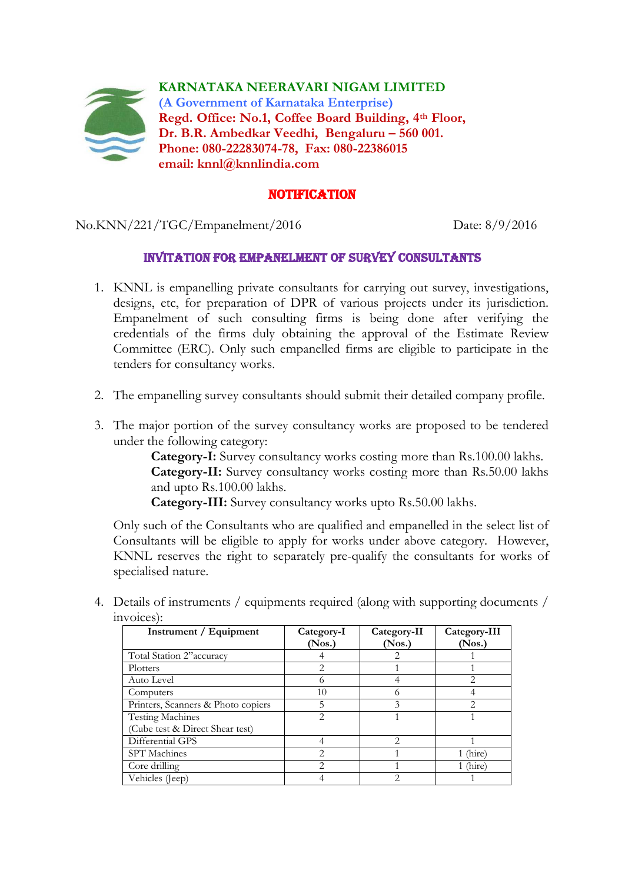

## **NOTIFICATION**

No.KNN/221/TGC/Empanelment/2016 Date: 8/9/2016

## INVITATION FOR EMPANELMENT OF survey consultants

- 1. KNNL is empanelling private consultants for carrying out survey, investigations, designs, etc, for preparation of DPR of various projects under its jurisdiction. Empanelment of such consulting firms is being done after verifying the credentials of the firms duly obtaining the approval of the Estimate Review Committee (ERC). Only such empanelled firms are eligible to participate in the tenders for consultancy works.
- 2. The empanelling survey consultants should submit their detailed company profile.
- 3. The major portion of the survey consultancy works are proposed to be tendered under the following category:

**Category-I:** Survey consultancy works costing more than Rs.100.00 lakhs. **Category-II:** Survey consultancy works costing more than Rs.50.00 lakhs and upto Rs.100.00 lakhs.

**Category-III:** Survey consultancy works upto Rs.50.00 lakhs.

Only such of the Consultants who are qualified and empanelled in the select list of Consultants will be eligible to apply for works under above category. However, KNNL reserves the right to separately pre-qualify the consultants for works of specialised nature.

4. Details of instruments / equipments required (along with supporting documents / invoices):

| Instrument / Equipment             | Category-I<br>(Nos.) | Category-II<br>(Nos.) | Category-III<br>(Nos.)      |
|------------------------------------|----------------------|-----------------------|-----------------------------|
| Total Station 2"accuracy           |                      |                       |                             |
| Plotters                           | 2                    |                       |                             |
| Auto Level                         | 6                    |                       | $\mathfrak{D}$              |
| Computers                          | 10                   |                       |                             |
| Printers, Scanners & Photo copiers | 5                    | 3                     | $\mathcal{D}_{\mathcal{L}}$ |
| <b>Testing Machines</b>            | 2                    |                       |                             |
| (Cube test & Direct Shear test)    |                      |                       |                             |
| Differential GPS                   |                      | 2                     |                             |
| SPT Machines                       | $\overline{2}$       |                       | (hire)                      |
| Core drilling                      | $\mathfrak{D}$       |                       | (hire)                      |
| Vehicles (Jeep)                    |                      |                       |                             |